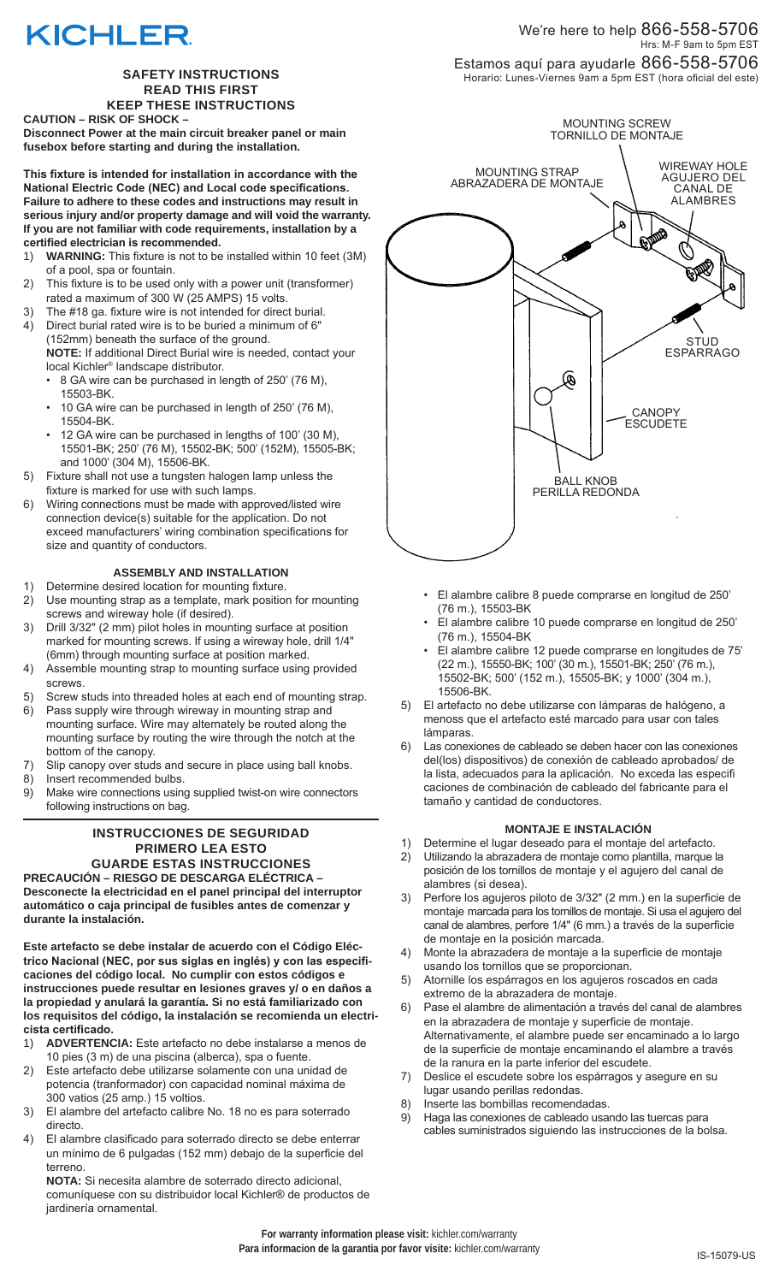# **KICHLER**

### **SAFETY INSTRUCTIONS READ THIS FIRST KEEP THESE INSTRUCTIONS**

**CAUTION – RISK OF SHOCK –** 

**Disconnect Power at the main circuit breaker panel or main fusebox before starting and during the installation.**

**This fixture is intended for installation in accordance with the National Electric Code (NEC) and Local code specifications. Failure to adhere to these codes and instructions may result in serious injury and/or property damage and will void the warranty. If you are not familiar with code requirements, installation by a certified electrician is recommended.**

- 1) **WARNING:** This fixture is not to be installed within 10 feet (3M) of a pool, spa or fountain.
- 2) This fixture is to be used only with a power unit (transformer) rated a maximum of 300 W (25 AMPS) 15 volts.
- 3) The #18 ga. fixture wire is not intended for direct burial.<br>4) Direct burial rated wire is to be buried a minimum of 6" Direct burial rated wire is to be buried a minimum of 6" (152mm) beneath the surface of the ground.
	- **NOTE:** If additional Direct Burial wire is needed, contact your local Kichler® landscape distributor.
		- 8 GA wire can be purchased in length of 250' (76 M), 15503-BK.
		- 10 GA wire can be purchased in length of 250' (76 M), 15504-BK.
		- 12 GA wire can be purchased in lengths of 100' (30 M), 15501-BK; 250' (76 M), 15502-BK; 500' (152M), 15505-BK; and 1000' (304 M), 15506-BK.
- 5) Fixture shall not use a tungsten halogen lamp unless the fixture is marked for use with such lamps.
- 6) Wiring connections must be made with approved/listed wire connection device(s) suitable for the application. Do not exceed manufacturers' wiring combination specifications for size and quantity of conductors.

## **ASSEMBLY AND INSTALLATION**

- 1) Determine desired location for mounting fixture.
- 2) Use mounting strap as a template, mark position for mounting screws and wireway hole (if desired).
- 3) Drill 3/32" (2 mm) pilot holes in mounting surface at position marked for mounting screws. If using a wireway hole, drill 1/4" (6mm) through mounting surface at position marked.
- 4) Assemble mounting strap to mounting surface using provided screws.
- 5) Screw studs into threaded holes at each end of mounting strap.
- 6) Pass supply wire through wireway in mounting strap and mounting surface. Wire may alternately be routed along the mounting surface by routing the wire through the notch at the bottom of the canopy.
- 7) Slip canopy over studs and secure in place using ball knobs.
- Insert recommended bulbs.
- 9) Make wire connections using supplied twist-on wire connectors following instructions on bag.

### **INSTRUCCIONES DE SEGURIDAD PRIMERO LEA ESTO GUARDE ESTAS INSTRUCCIONES**

**PRECAUCIÓN – RIESGO DE DESCARGA ELÉCTRICA – Desconecte la electricidad en el panel principal del interruptor automático o caja principal de fusibles antes de comenzar y durante la instalación.**

**Este artefacto se debe instalar de acuerdo con el Código Eléctrico Nacional (NEC, por sus siglas en inglés) y con las especificaciones del código local. No cumplir con estos códigos e instrucciones puede resultar en lesiones graves y/ o en daños a la propiedad y anulará la garantía. Si no está familiarizado con los requisitos del código, la instalación se recomienda un electricista certificado.**

- 1) **ADVERTENCIA:** Este artefacto no debe instalarse a menos de 10 pies (3 m) de una piscina (alberca), spa o fuente.
- 2) Este artefacto debe utilizarse solamente con una unidad de potencia (tranformador) con capacidad nominal máxima de 300 vatios (25 amp.) 15 voltios.
- 3) El alambre del artefacto calibre No. 18 no es para soterrado directo.
- 4) El alambre clasificado para soterrado directo se debe enterrar un mínimo de 6 pulgadas (152 mm) debajo de la superficie del terreno.

**NOTA:** Si necesita alambre de soterrado directo adicional, comuníquese con su distribuidor local Kichler® de productos de jardinería ornamental.

We're here to help 866-558-5706 Hrs: M-F 9am to 5pm EST Estamos aquí para ayudarle 866-558-5706 Horario: Lunes-Viernes 9am a 5pm EST (hora oficial del este)



- El alambre calibre 8 puede comprarse en longitud de 250' (76 m.), 15503-BK
- El alambre calibre 10 puede comprarse en longitud de 250' (76 m.), 15504-BK
- El alambre calibre 12 puede comprarse en longitudes de 75' (22 m.), 15550-BK; 100' (30 m.), 15501-BK; 250' (76 m.), 15502-BK; 500' (152 m.), 15505-BK; y 1000' (304 m.), 15506-BK.
- 5) El artefacto no debe utilizarse con lámparas de halógeno, a menoss que el artefacto esté marcado para usar con tales lámparas.
- 6) Las conexiones de cableado se deben hacer con las conexiones del(los) dispositivos) de conexión de cableado aprobados/ de la lista, adecuados para la aplicación. No exceda las especifi caciones de combinación de cableado del fabricante para el tamaño y cantidad de conductores.

### **MONTAJE E INSTALACIÓN**

- 1) Determine el lugar deseado para el montaje del artefacto. 2) Utilizando la abrazadera de montaje como plantilla, marque la posición de los tornillos de montaje y el agujero del canal de alambres (si desea).
- 3) Perfore los agujeros piloto de 3/32" (2 mm.) en la superficie de montaje marcada para los tornillos de montaje. Si usa el agujero del canal de alambres, perfore 1/4" (6 mm.) a través de la superficie de montaje en la posición marcada.
- 4) Monte la abrazadera de montaje a la superficie de montaje usando los tornillos que se proporcionan.
- 5) Atornille los espárragos en los agujeros roscados en cada extremo de la abrazadera de montaje.
- 6) Pase el alambre de alimentación a través del canal de alambres en la abrazadera de montaje y superficie de montaje. Alternativamente, el alambre puede ser encaminado a lo largo de la superficie de montaje encaminando el alambre a través de la ranura en la parte inferior del escudete.
- 7) Deslice el escudete sobre los espárragos y asegure en su lugar usando perillas redondas.
- 8) Inserte las bombillas recomendadas.
- 9) Haga las conexiones de cableado usando las tuercas para cables suministrados siguiendo las instrucciones de la bolsa.